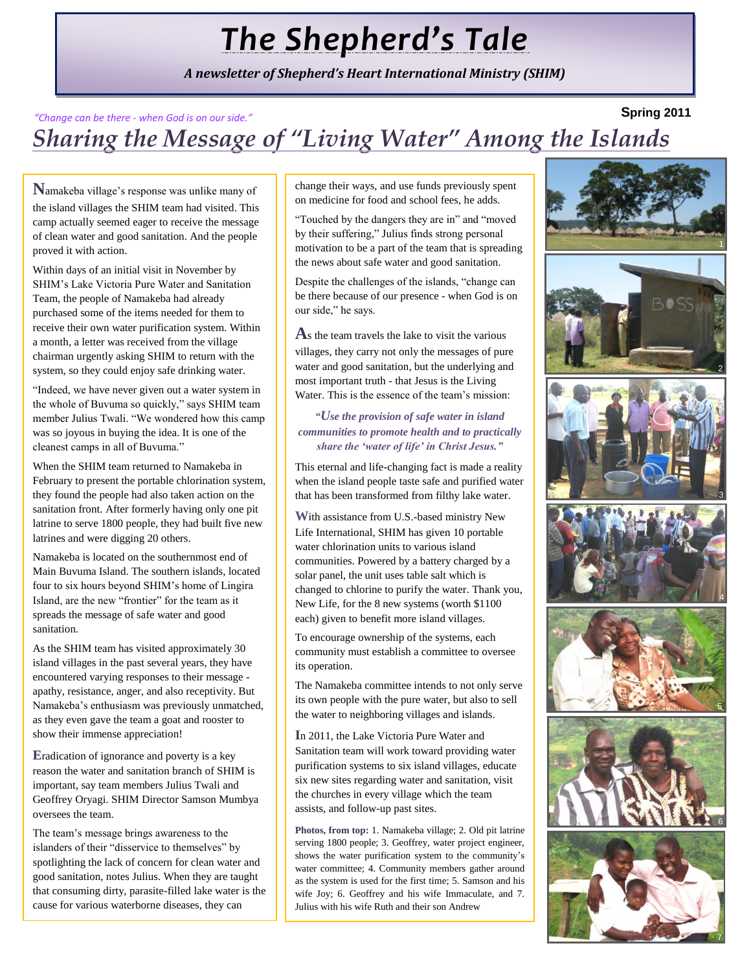# *The Shepherd's Tale*

*A newsletter of Shepherd's Heart International Ministry (SHIM)*

#### **Spring 2011** *Sharing the Message of "Living Water" Among the Islands "Change can be there - when God is on our side."*

**N**amakeba village's response was unlike many of the island villages the SHIM team had visited. This camp actually seemed eager to receive the message of clean water and good sanitation. And the people proved it with action.

Within days of an initial visit in November by SHIM's Lake Victoria Pure Water and Sanitation Team, the people of Namakeba had already purchased some of the items needed for them to receive their own water purification system. Within a month, a letter was received from the village chairman urgently asking SHIM to return with the system, so they could enjoy safe drinking water.

"Indeed, we have never given out a water system in the whole of Buvuma so quickly," says SHIM team member Julius Twali. "We wondered how this camp was so joyous in buying the idea. It is one of the cleanest camps in all of Buvuma."

When the SHIM team returned to Namakeba in February to present the portable chlorination system, they found the people had also taken action on the sanitation front. After formerly having only one pit latrine to serve 1800 people, they had built five new latrines and were digging 20 others.

Namakeba is located on the southernmost end of Main Buvuma Island. The southern islands, located four to six hours beyond SHIM's home of Lingira Island, are the new "frontier" for the team as it spreads the message of safe water and good sanitation.

As the SHIM team has visited approximately 30 island villages in the past several years, they have encountered varying responses to their message apathy, resistance, anger, and also receptivity. But Namakeba's enthusiasm was previously unmatched, as they even gave the team a goat and rooster to show their immense appreciation!

**E**radication of ignorance and poverty is a key reason the water and sanitation branch of SHIM is important, say team members Julius Twali and Geoffrey Oryagi. SHIM Director Samson Mumbya oversees the team.

The team's message brings awareness to the islanders of their "disservice to themselves" by spotlighting the lack of concern for clean water and good sanitation, notes Julius. When they are taught that consuming dirty, parasite-filled lake water is the cause for various waterborne diseases, they can

change their ways, and use funds previously spent on medicine for food and school fees, he adds.

"Touched by the dangers they are in" and "moved by their suffering," Julius finds strong personal motivation to be a part of the team that is spreading the news about safe water and good sanitation.

Despite the challenges of the islands, "change can be there because of our presence - when God is on our side," he says.

**A**s the team travels the lake to visit the various villages, they carry not only the messages of pure water and good sanitation, but the underlying and most important truth - that Jesus is the Living Water. This is the essence of the team's mission:

#### *"Use the provision of safe water in island communities to promote health and to practically share the "water of life" in Christ Jesus."*

This eternal and life-changing fact is made a reality when the island people taste safe and purified water that has been transformed from filthy lake water.

**W**ith assistance from U.S.-based ministry New Life International, SHIM has given 10 portable water chlorination units to various island communities. Powered by a battery charged by a solar panel, the unit uses table salt which is changed to chlorine to purify the water. Thank you, New Life, for the 8 new systems (worth \$1100 each) given to benefit more island villages.

To encourage ownership of the systems, each community must establish a committee to oversee its operation.

The Namakeba committee intends to not only serve its own people with the pure water, but also to sell the water to neighboring villages and islands.

**I**n 2011, the Lake Victoria Pure Water and Sanitation team will work toward providing water purification systems to six island villages, educate six new sites regarding water and sanitation, visit the churches in every village which the team assists, and follow-up past sites.

**Photos, from top:** 1. Namakeba village; 2. Old pit latrine serving 1800 people; 3. Geoffrey, water project engineer, shows the water purification system to the community's water committee; 4. Community members gather around as the system is used for the first time; 5. Samson and his wife Joy; 6. Geoffrey and his wife Immaculate, and 7. Julius with his wife Ruth and their son Andrew